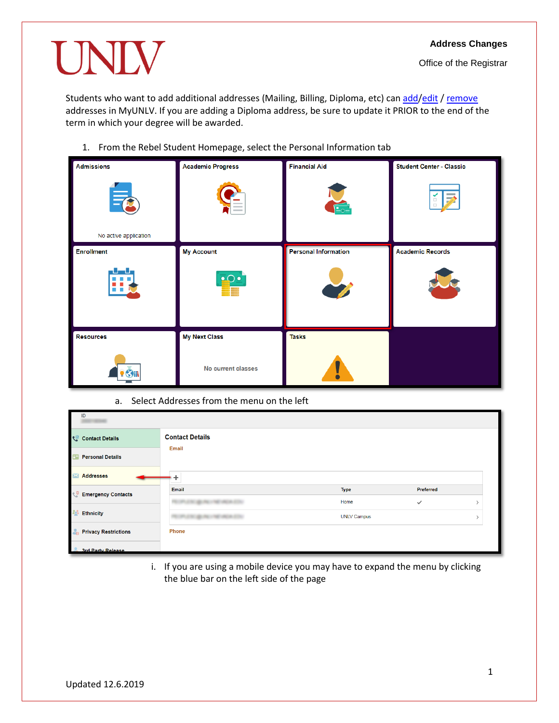UNIV

Office of the Registrar

Students who want to [add](#page-1-0) additional addresses (Mailing, Billing, Diploma, etc) can add[/edit](#page-3-0) / [remove](#page-4-0) addresses in MyUNLV. If you are adding a Diploma address, be sure to update it PRIOR to the end of the term in which your degree will be awarded.

1. From the Rebel Student Homepage, select the Personal Information tab

| <b>Admissions</b>                                                    | <b>Academic Progress</b> | <b>Financial Aid</b>        | <b>Student Center - Classic</b> |
|----------------------------------------------------------------------|--------------------------|-----------------------------|---------------------------------|
| $\equiv$<br>No active application                                    |                          |                             | $\rightarrow$<br>$\mathbb{Z}$   |
| <b>Enrollment</b>                                                    | <b>My Account</b>        | <b>Personal Information</b> | <b>Academic Records</b>         |
| بالموالد<br>. .<br><b>The Contract of State</b><br><b>CONTRACTOR</b> | $\bullet$ O $\bullet$    |                             |                                 |
| <b>Resources</b>                                                     | <b>My Next Class</b>     | <b>Tasks</b>                |                                 |
| $\bullet$ $\bullet$                                                  | No current classes       | V<br>$\bullet$              |                                 |

a. Select Addresses from the menu on the left

| ID                                        |                              |                    |              |  |
|-------------------------------------------|------------------------------|--------------------|--------------|--|
| Contact Details                           | <b>Contact Details</b>       |                    |              |  |
| <b>Personal Details</b><br>E              | Email                        |                    |              |  |
| <b>Addresses</b><br>$\blacktriangleright$ |                              |                    |              |  |
| <b>Emergency Contacts</b>                 | Email                        | Type               | Preferred    |  |
|                                           | <b>SECURITY AND IN</b>       | Home               | $\checkmark$ |  |
| <b>20 Ethnicity</b>                       | CALL AND PROPERTY AND A CALL | <b>UNLV Campus</b> |              |  |
| <b>Privacy Restrictions</b><br>ĞR.        | Phone                        |                    |              |  |
| 3rd Party Release                         |                              |                    |              |  |

i. If you are using a mobile device you may have to expand the menu by clicking the blue bar on the left side of the page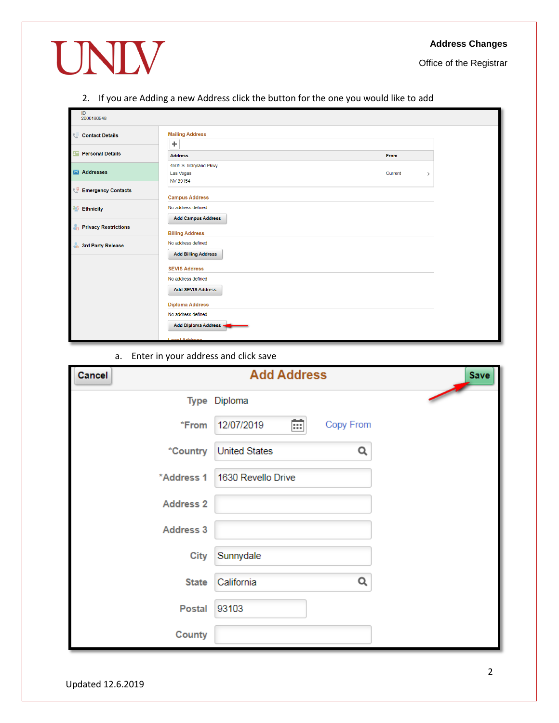Office of the Registrar

# UNIV

<span id="page-1-0"></span>2. If you are Adding a new Address click the button for the one you would like to add

| ID<br>2000180948            |                                                     |                          |
|-----------------------------|-----------------------------------------------------|--------------------------|
| Contact Details             | <b>Mailing Address</b><br>÷                         |                          |
| <b>B Personal Details</b>   | <b>Address</b>                                      | From                     |
| <b>X</b> Addresses          | 4505 S. Maryland Pkwy<br>Las Vegas<br>NV 89154      | Current<br>$\rightarrow$ |
| Emergency Contacts          | <b>Campus Address</b>                               |                          |
| <b>All</b> Ethnicity        | No address defined                                  |                          |
| <b>Privacy Restrictions</b> | <b>Add Campus Address</b><br><b>Billing Address</b> |                          |
| 3rd Party Release           | No address defined<br><b>Add Billing Address</b>    |                          |
|                             | <b>SEVIS Address</b>                                |                          |
|                             | No address defined<br><b>Add SEVIS Address</b>      |                          |
|                             | <b>Diploma Address</b>                              |                          |
|                             | No address defined<br>Add Diploma Address -         |                          |
|                             | <b>Sept Address</b>                                 |                          |

a. Enter in your address and click save

| Cancel           | <b>Add Address</b>           | <b>Save</b> |
|------------------|------------------------------|-------------|
|                  | Type Diploma                 |             |
| *From            | 崗<br>Copy From<br>12/07/2019 |             |
| *Country         | <b>United States</b><br>Q    |             |
| *Address 1       | 1630 Revello Drive           |             |
| <b>Address 2</b> |                              |             |
| <b>Address 3</b> |                              |             |
| <b>City</b>      | Sunnydale                    |             |
| <b>State</b>     | Q<br>California              |             |
| <b>Postal</b>    | 93103                        |             |
| County           |                              |             |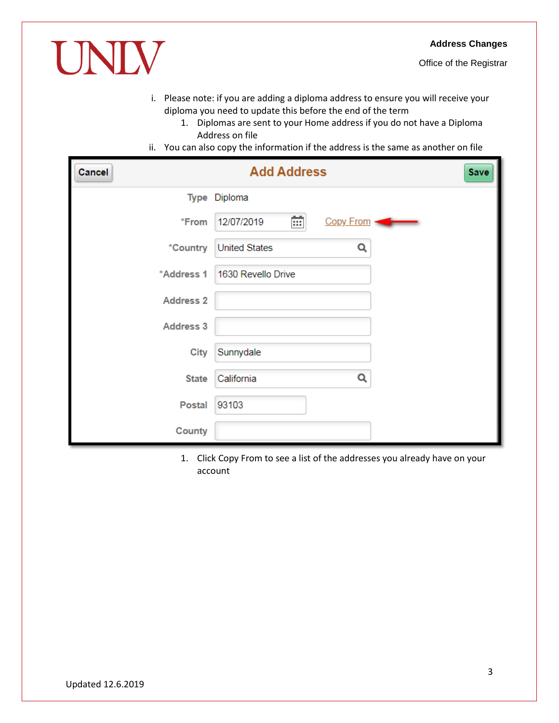

- i. Please note: if you are adding a diploma address to ensure you will receive your diploma you need to update this before the end of the term
	- 1. Diplomas are sent to your Home address if you do not have a Diploma Address on file
- ii. You can also copy the information if the address is the same as another on file

| Cancel                 | <b>Add Address</b>           | Save |
|------------------------|------------------------------|------|
|                        | Type Diploma                 |      |
| *From                  | 崗<br>12/07/2019<br>Copy From |      |
| <i><b>*Country</b></i> | <b>United States</b><br>Q    |      |
| *Address 1             | 1630 Revello Drive           |      |
| <b>Address 2</b>       |                              |      |
| <b>Address 3</b>       |                              |      |
| <b>City</b>            | Sunnydale                    |      |
| <b>State</b>           | Q<br>California              |      |
| <b>Postal</b>          | 93103                        |      |
| County                 |                              |      |

1. Click Copy From to see a list of the addresses you already have on your account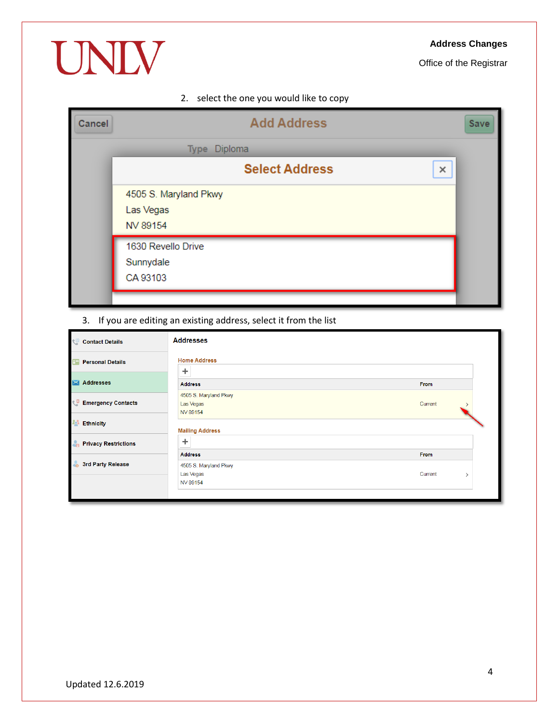#### **Address Changes**

Office of the Registrar

# UNIV

## 2. select the one you would like to copy

| Cancel | <b>Add Address</b>         | Save |
|--------|----------------------------|------|
|        | Type Diploma               |      |
|        | <b>Select Address</b><br>× |      |
|        | 4505 S. Maryland Pkwy      |      |
|        | Las Vegas<br>NV 89154      |      |
|        | 1630 Revello Drive         |      |
|        | Sunnydale                  |      |
|        | CA 93103                   |      |
|        |                            |      |

## <span id="page-3-0"></span>3. If you are editing an existing address, select it from the list

| $\mathcal{E}$ |
|---------------|
|               |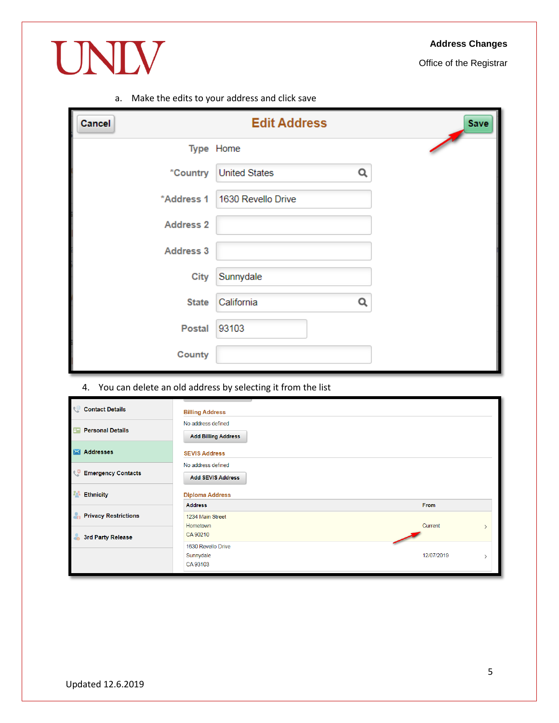#### **Address Changes**

Office of the Registrar

#### a. Make the edits to your address and click save

UNIV

| <b>Cancel</b>    | <b>Edit Address</b>       | Save |
|------------------|---------------------------|------|
|                  | Type Home                 |      |
| *Country         | <b>United States</b><br>Q |      |
| *Address 1       | 1630 Revello Drive        |      |
| <b>Address 2</b> |                           |      |
| <b>Address 3</b> |                           |      |
| <b>City</b>      | Sunnydale                 |      |
| <b>State</b>     | California<br>Q           |      |
| <b>Postal</b>    | 93103                     |      |
| County           |                           |      |

<span id="page-4-0"></span>4. You can delete an old address by selecting it from the list

| Contact Details                             | <b>Billing Address</b>                           |                 |
|---------------------------------------------|--------------------------------------------------|-----------------|
| $\overline{a}$<br><b>Personal Details</b>   | No address defined<br><b>Add Billing Address</b> |                 |
| <b>X</b> Addresses                          | <b>SEVIS Address</b>                             |                 |
| <b>C</b> Emergency Contacts                 | No address defined<br><b>Add SEVIS Address</b>   |                 |
| 20<br><b>Ethnicity</b>                      | <b>Diploma Address</b>                           |                 |
| $\mathbf{A}$<br><b>Privacy Restrictions</b> | <b>Address</b><br>1234 Main Street<br>Hometown   | From<br>Current |
| <b>3rd Party Release</b>                    | CA 90210                                         |                 |
|                                             | 1630 Revello Drive<br>Sunnydale<br>CA 93103      | 12/07/2019      |